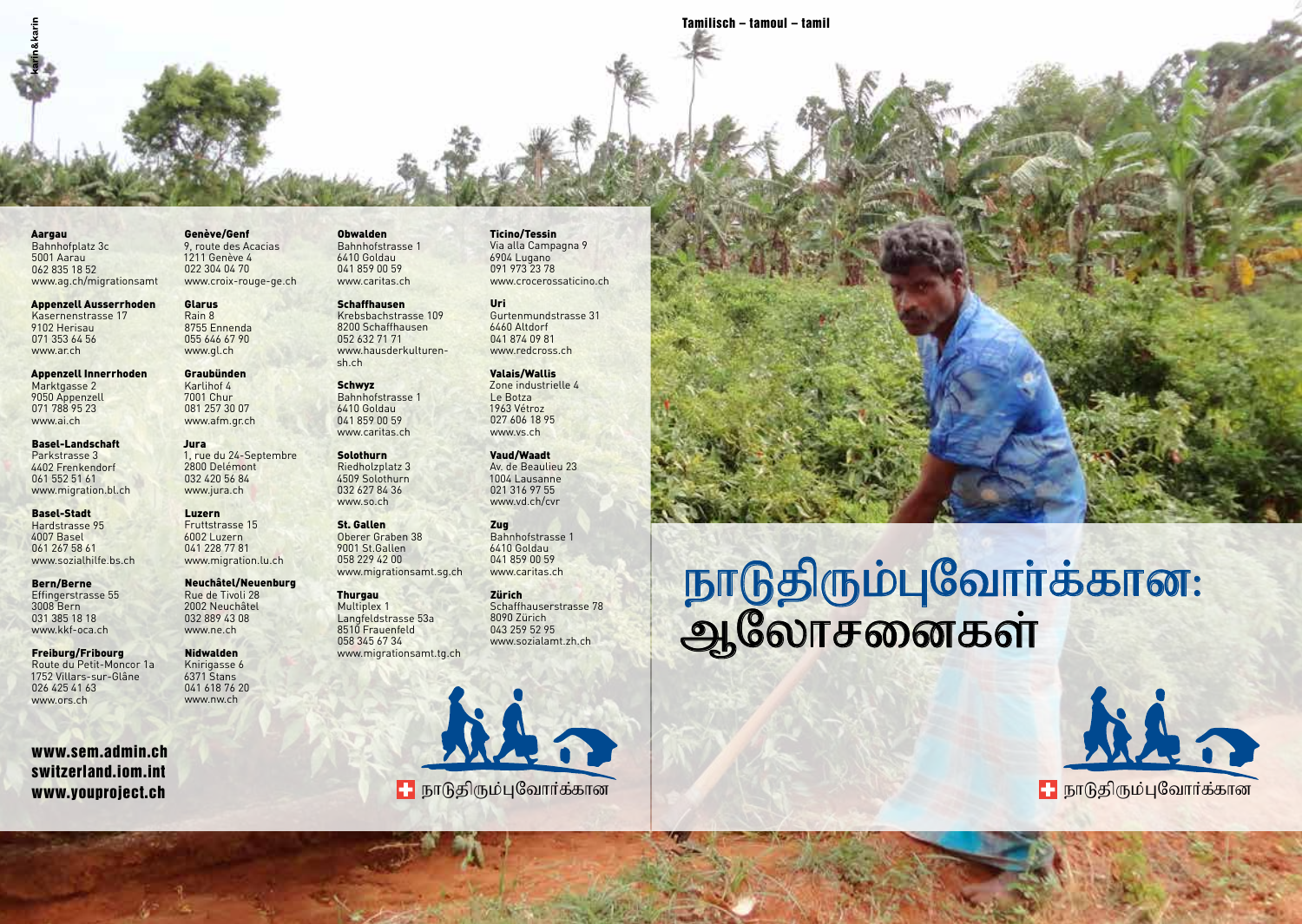Tamilisch – tamoul – tamil

#### Aargau Bahnhofplatz 3c 5001 Aarau 062 835 18 52 www.ag.ch/migrationsamt

Appenzell Ausserrhoden Kasernenstrasse 17 9102 Herisau 071 353 64 56 www.ar.ch

Appenzell Innerrhoden Marktgasse 2 9050 Appenzell 071 788 95 23 www.ai.ch

Basel-Landschaft Parkstrasse 3 4402 Frenkendorf 061 552 51 61 www.migration.bl.ch

Basel-Stadt Hardstrasse 95 4007 Basel 061 267 58 61 www.sozialhilfe.bs.ch

Bern/Berne Effingerstrasse 55 3008 Bern 031 385 18 18 www.kkf-oca.ch

Freiburg/Fribourg Route du Petit-Moncor 1a 1752 Villars-sur-Glâne 026 425 41 63 www.ors.ch

www.sem.admin.ch switzerland.iom.int www.youproject.ch

Genève/Genf 9, route des Acacias 1211 Genève 4 022 304 04 70 www.croix-rouge-ge.ch Obwalden Bahnhofstrasse 1 6410 Goldau 041 859 00 59 www.caritas.ch

Glarus Rain 8 8755 Ennenda 055 646 67 90 www.gl.ch Graubünden Karlihof 4 7001 Chur 081 257 30 07 www.afm.gr.ch

Jura

1, rue du 24-Septembre 2800 Delémont 032 420 56 84 www.jura.ch Luzern Fruttstrasse 15 6002 Luzern 041 228 77 81 www.migration.lu.ch Neuchâtel/Neuenburg Rue de Tivoli 28 2002 Neuchâtel 032 889 43 08 www.ne.ch Nidwalden Knirigasse 6 6371 Stans 041 618 76 20 www.nw.ch

**Schaffhausen** Krebsbachstrasse 109 8200 Schaffhausen 052 632 71 71 www.hausderkulturensh.ch

Schwyz Bahnhofstrasse 1 6410 Goldau 041 859 00 59 www.caritas.ch

#### Solothurn Riedholzplatz 3 4509 Solothurn 032 627 84 36 www.so.ch

St. Gallen Oberer Graben 38 9001 St.Gallen 058 229 42 00 www.migrationsamt.sg.ch

### **Thurgau** Multiplex 1 Langfeldstrasse 53a 8510 Frauenfeld 058 345 67 34 www.migrationsamt.tg.ch



#### Ticino/Tessin Via alla Campagna 9 6904 Lugano 091 973 23 78 www.crocerossaticino.ch

Uri Gurtenmundstrasse 31 6460 Altdorf 041 874 09 81 www.redcross.ch

Valais/Wallis Zone industrielle 4 Le Botza 1963 Vétroz 027 606 18 95 www.vs.ch

Vaud/Waadt Av. de Beaulieu 23 1004 Lausanne 021 316 97 55 www.vd.ch/cvr

Zug Bahnhofstrasse 1 6410 Goldau 041 859 00 59 www.caritas.ch

Zürich Schaffhauserstrasse 78 8090 Zürich 043 259 52 95 www.sozialamt.zh.ch